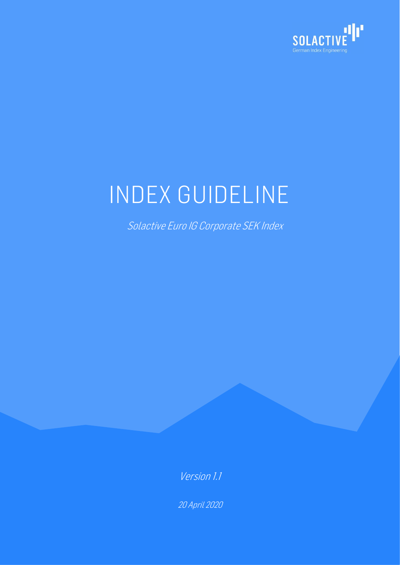

# INDEX GUIDELINE

Solactive Euro IG Corporate SEK Index

Version 1.1

20 April 2020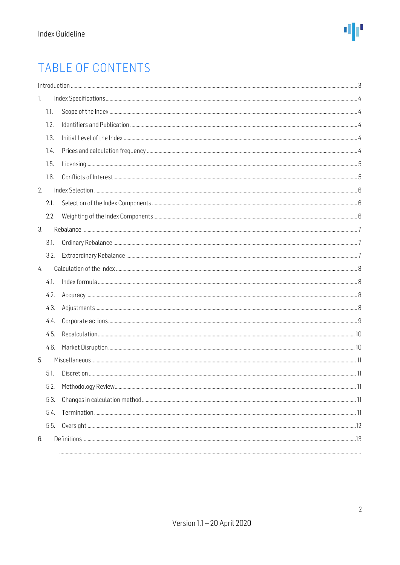### TABLE OF CONTENTS

| 1. |      |  |
|----|------|--|
|    | 1.1. |  |
|    | 1.2. |  |
|    | 1.3. |  |
|    | 1.4. |  |
|    | 1.5. |  |
|    | 1.6. |  |
| 2. |      |  |
|    | 2.1. |  |
|    | 2.2. |  |
| 3. |      |  |
|    | 3.1. |  |
|    | 3.2. |  |
| 4. |      |  |
|    | 4.1. |  |
|    | 4.2. |  |
|    | 4.3. |  |
|    | 4.4. |  |
|    | 4.5. |  |
|    | 4.6. |  |
| 5. |      |  |
|    | 5.1. |  |
|    | 5.2. |  |
|    | 5.3. |  |
|    | 5.4. |  |
|    | 5.5. |  |
| 6. |      |  |
|    |      |  |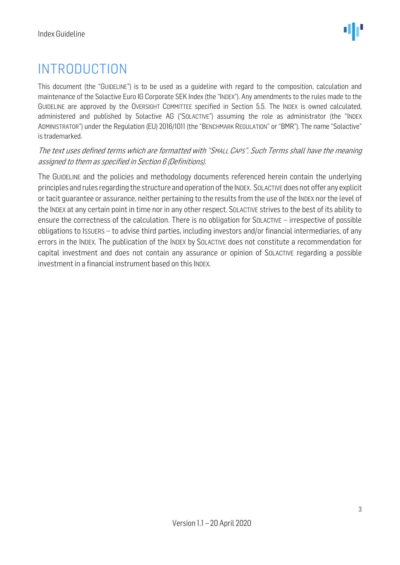### <span id="page-2-0"></span>INTRODUCTION

This document (the "GUIDELINE") is to be used as a guideline with regard to the composition, calculation and maintenance of the Solactive Euro IG Corporate SEK Index (the "INDEX"). Any amendments to the rules made to the GUIDELINE are approved by the OVERSIGHT COMMITTEE specified in Section 5.5. The INDEX is owned calculated, administered and published by Solactive AG ("SOLACTIVE") assuming the role as administrator (the "INDEX ADMINISTRATOR") under the Regulation (EU) 2016/1011 (the "BENCHMARK REGULATION" or "BMR"). The name "Solactive" is trademarked.

#### The text uses defined terms which are formatted with "SMALL CAPS". Such Terms shall have the meaning assigned to them as specified in Section 6 (Definitions).

The GUIDELINE and the policies and methodology documents referenced herein contain the underlying principles and rules regarding the structure and operation of the INDEX. SOLACTIVE does not offer any explicit or tacit guarantee or assurance, neither pertaining to the results from the use of the INDEX nor the level of the INDEX at any certain point in time nor in any other respect. SOLACTIVE strives to the best of its ability to ensure the correctness of the calculation. There is no obligation for SOLACTIVE – irrespective of possible obligations to ISSUERS – to advise third parties, including investors and/or financial intermediaries, of any errors in the INDEX. The publication of the INDEX by SOLACTIVE does not constitute a recommendation for capital investment and does not contain any assurance or opinion of SOLACTIVE regarding a possible investment in a financial instrument based on this INDEX.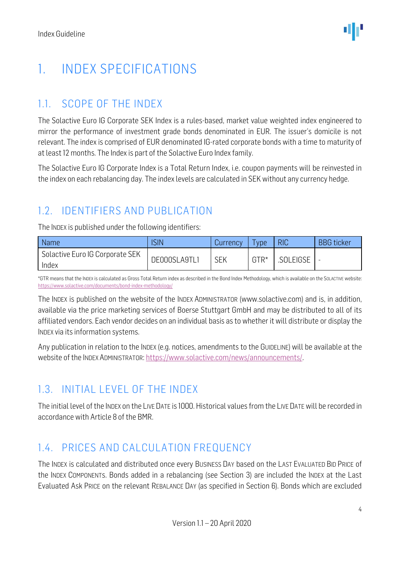### <span id="page-3-0"></span>1. INDEX SPECIFICATIONS

### <span id="page-3-1"></span>1.1. SCOPE OF THE INDEX

The Solactive Euro IG Corporate SEK Index is a rules-based, market value weighted index engineered to mirror the performance of investment grade bonds denominated in EUR. The issuer's domicile is not relevant. The index is comprised of EUR denominated IG-rated corporate bonds with a time to maturity of at least 12 months. The Index is part of the Solactive Euro Index family.

The Solactive Euro IG Corporate Index is a Total Return Index, i.e. coupon payments will be reinvested in the index on each rebalancing day. The index levels are calculated in SEK without any currency hedge.

### <span id="page-3-2"></span>1.2. IDENTIFIERS AND PUBLICATION

The INDEX is published under the following identifiers:

| Name                            | <b>SIN</b>   | Currency   | vpe    | <b>RIC</b> | <b>BBG</b> ticker |
|---------------------------------|--------------|------------|--------|------------|-------------------|
| Solactive Euro IG Corporate SEK | DE000SLA9TL1 | <b>SEK</b> | $GTR*$ | .SOLEIGSE  |                   |
| Index                           |              |            |        |            |                   |

\*GTR means that the INDEX is calculated as Gross Total Return index as described in the Bond Index Methodology, which is available on the SOLACTIVE website: <https://www.solactive.com/documents/bond-index-methodology/>

The INDEX is published on the website of the INDEX ADMINISTRATOR (www.solactive.com) and is, in addition, available via the price marketing services of Boerse Stuttgart GmbH and may be distributed to all of its affiliated vendors. Each vendor decides on an individual basis as to whether it will distribute or display the INDEX via its information systems.

Any publication in relation to the INDEX (e.g. notices, amendments to the GUIDELINE) will be available at the website of the INDEX ADMINISTRATOR: [https://www.solactive.com/news/announcements/.](https://www.solactive.com/news/announcements/)

### <span id="page-3-3"></span>1.3. INITIAL LEVEL OF THE INDEX

The initial level of the INDEX on the LIVE DATE is 1000. Historical values from the LIVE DATE will be recorded in accordance with Article 8 of the BMR.

#### <span id="page-3-4"></span>1.4. PRICES AND CALCULATION FREQUENCY

The INDEX is calculated and distributed once every BUSINESS DAY based on the LAST EVALUATED BID PRICE of the INDEX COMPONENTs. Bonds added in a rebalancing (see Section 3) are included the INDEX at the Last Evaluated Ask PRICE on the relevant REBALANCE DAY (as specified in Section 6). Bonds which are excluded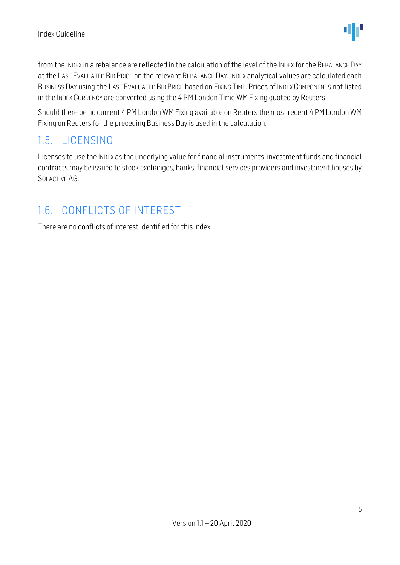from the INDEX in a rebalance are reflected in the calculation of the level of the INDEX for the REBALANCE DAY at the LAST EVALUATED BID PRICE on the relevant REBALANCE DAY. INDEX analytical values are calculated each BUSINESS DAY using the LAST EVALUATED BID PRICE based on FIXING TIME. Prices of INDEX COMPONENTS not listed in the INDEX CURRENCY are converted using the 4 PM London Time WM Fixing quoted by Reuters.

Should there be no current 4 PM London WM Fixing available on Reuters the most recent 4 PM London WM Fixing on Reuters for the preceding Business Day is used in the calculation.

### <span id="page-4-0"></span>1.5. LICENSING

Licenses to use the INDEX as the underlying value for financial instruments, investment funds and financial contracts may be issued to stock exchanges, banks, financial services providers and investment houses by SOLACTIVE AG.

### <span id="page-4-1"></span>1.6. CONFLICTS OF INTEREST

There are no conflicts of interest identified for this index.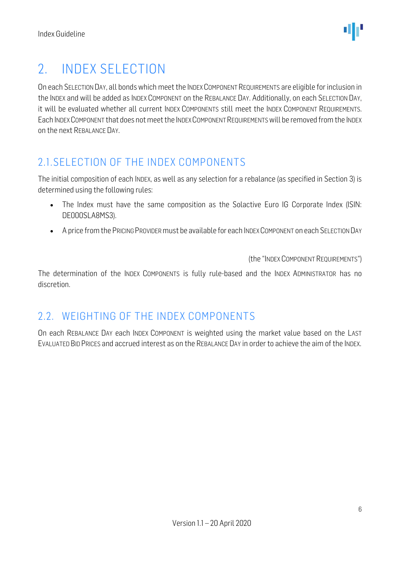### <span id="page-5-0"></span>2. INDEX SELECTION

On each SELECTION DAY, all bonds which meet the INDEX COMPONENT REQUIREMENTS are eligible for inclusion in the INDEX and will be added as INDEX COMPONENT on the REBALANCE DAY. Additionally, on each SELECTION DAY, it will be evaluated whether all current INDEX COMPONENTS still meet the INDEX COMPONENT REQUIREMENTS. Each INDEX COMPONENT that does not meet the INDEX COMPONENT REQUIREMENTSwill be removed from the INDEX on the next REBALANCE DAY.

### <span id="page-5-1"></span>2.1.SELECTION OF THE INDEX COMPONENTS

The initial composition of each INDEX, as well as any selection for a rebalance (as specified in Section 3) is determined using the following rules:

- The Index must have the same composition as the Solactive Euro IG Corporate Index (ISIN: DE000SLA8MS3).
- A price from the PRICING PROVIDER must be available for each INDEX COMPONENT on each SELECTION DAY

(the "INDEX COMPONENT REQUIREMENTS")

The determination of the INDEX COMPONENTS is fully rule-based and the INDEX ADMINISTRATOR has no discretion.

#### <span id="page-5-2"></span>2.2. WEIGHTING OF THE INDEX COMPONENTS

On each REBALANCE DAY each INDEX COMPONENT is weighted using the market value based on the LAST EVALUATED BID PRICES and accrued interest as on the REBALANCE DAY in order to achieve the aim of the INDEX.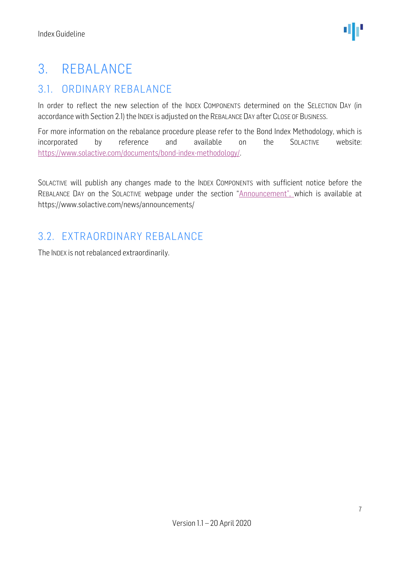### <span id="page-6-0"></span>3. REBALANCE

### <span id="page-6-1"></span>3.1. ORDINARY REBALANCE

In order to reflect the new selection of the INDEX COMPONENTS determined on the SELECTION DAY (in accordance with Section 2.1) the INDEX is adjusted on the REBALANCE DAY after CLOSE OF BUSINESS.

For more information on the rebalance procedure please refer to the Bond Index Methodology, which is incorporated by reference and available on the SOLACTIVE website: [https://www.solactive.com/documents/bond-index-methodology/.](https://www.solactive.com/documents/bond-index-methodology/)

SOLACTIVE will publish any changes made to the INDEX COMPONENTS with sufficient notice before the REBALANCE DAY on the SOLACTIVE webpage under the section "Announcement", which is available at https://www.solactive.com/news/announcements/

#### <span id="page-6-2"></span>3.2. EXTRAORDINARY REBALANCE

The INDEX is not rebalanced extraordinarily.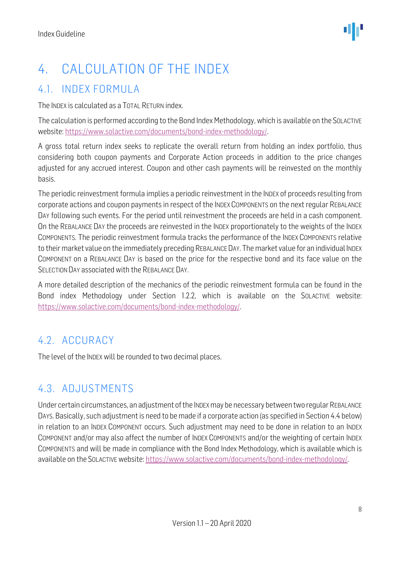### <span id="page-7-0"></span>4. CALCULATION OF THE INDEX

### <span id="page-7-1"></span>4.1. INDEX FORMULA

The INDEX is calculated as a TOTAL RETURN index.

The calculation is performed according to the Bond Index Methodology, which is available on the SOLACTIVE website: [https://www.solactive.com/documents/bond-index-methodology/.](https://www.solactive.com/documents/bond-index-methodology/)

A gross total return index seeks to replicate the overall return from holding an index portfolio, thus considering both coupon payments and Corporate Action proceeds in addition to the price changes adjusted for any accrued interest. Coupon and other cash payments will be reinvested on the monthly basis.

The periodic reinvestment formula implies a periodic reinvestment in the INDEX of proceeds resulting from corporate actions and coupon payments in respect of the INDEX COMPONENTS on the next regular REBALANCE DAY following such events. For the period until reinvestment the proceeds are held in a cash component. On the REBALANCE DAY the proceeds are reinvested in the INDEX proportionately to the weights of the INDEX COMPONENTS. The periodic reinvestment formula tracks the performance of the INDEX COMPONENTS relative to their market value on the immediately preceding REBALANCE DAY. The market value for an individual INDEX COMPONENT on a REBALANCE DAY is based on the price for the respective bond and its face value on the SELECTION DAY associated with the REBALANCE DAY.

A more detailed description of the mechanics of the periodic reinvestment formula can be found in the Bond index Methodology under Section 1.2.2, which is available on the SOLACTIVE website: [https://www.solactive.com/documents/bond-index-methodology/.](https://www.solactive.com/documents/bond-index-methodology/)

#### <span id="page-7-2"></span>4.2. ACCURACY

The level of the INDEX will be rounded to two decimal places.

#### <span id="page-7-3"></span>4.3. ADJUSTMENTS

Under certain circumstances, an adjustment of the INDEX may be necessary between two regular REBALANCE DAYS. Basically, such adjustment is need to be made if a corporate action (as specified in Section 4.4 below) in relation to an INDEX COMPONENT occurs. Such adjustment may need to be done in relation to an INDEX COMPONENT and/or may also affect the number of INDEX COMPONENTS and/or the weighting of certain INDEX COMPONENTS and will be made in compliance with the Bond Index Methodology, which is available which is available on the SOLACTIVE website: [https://www.solactive.com/documents/bond-index-methodology/.](https://www.solactive.com/documents/bond-index-methodology/)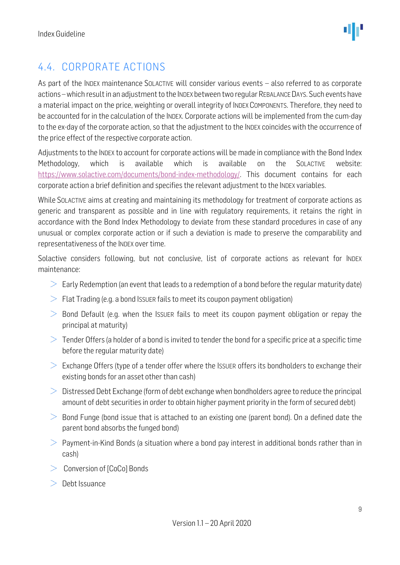### <span id="page-8-0"></span>4.4. CORPORATE ACTIONS

As part of the INDEX maintenance SOLACTIVE will consider various events – also referred to as corporate actions –which result in an adjustment to the INDEX between two regular REBALANCE DAYS. Such events have a material impact on the price, weighting or overall integrity of INDEX COMPONENTS. Therefore, they need to be accounted for in the calculation of the INDEX. Corporate actions will be implemented from the cum-day to the ex-day of the corporate action, so that the adjustment to the INDEX coincides with the occurrence of the price effect of the respective corporate action.

Adjustments to the INDEX to account for corporate actions will be made in compliance with the Bond Index Methodology, which is available which is available on the SOLACTIVE website: [https://www.solactive.com/documents/bond-index-methodology/.](https://www.solactive.com/documents/bond-index-methodology/) This document contains for each corporate action a brief definition and specifies the relevant adjustment to the INDEX variables.

While SOLACTIVE aims at creating and maintaining its methodology for treatment of corporate actions as generic and transparent as possible and in line with regulatory requirements, it retains the right in accordance with the Bond Index Methodology to deviate from these standard procedures in case of any unusual or complex corporate action or if such a deviation is made to preserve the comparability and representativeness of the INDEX over time.

Solactive considers following, but not conclusive, list of corporate actions as relevant for INDEX maintenance:

- $\geq$  Early Redemption (an event that leads to a redemption of a bond before the regular maturity date)
- $\geq$  Flat Trading (e.g. a bond Issuer fails to meet its coupon payment obligation)
- $>$  Bond Default (e.g. when the ISSUER fails to meet its coupon payment obligation or repay the principal at maturity)
- $>$  Tender Offers (a holder of a bond is invited to tender the bond for a specific price at a specific time before the regular maturity date)
- $\geq$  Exchange Offers (type of a tender offer where the Issuer offers its bondholders to exchange their existing bonds for an asset other than cash)
- $\geq$  Distressed Debt Exchange (form of debt exchange when bondholders agree to reduce the principal amount of debt securities in order to obtain higher payment priority in the form of secured debt)
- $\geq$  Bond Funge (bond issue that is attached to an existing one (parent bond). On a defined date the parent bond absorbs the funged bond)
- $>$  Payment-in-Kind Bonds (a situation where a bond pay interest in additional bonds rather than in cash)
- $>$  Conversion of [CoCo] Bonds
- $\geq$  Debt Issuance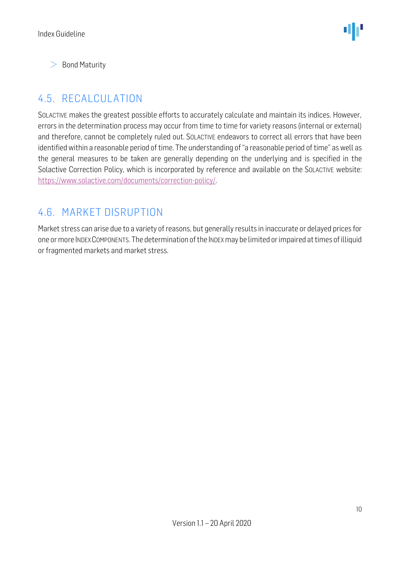$\geq$  Bond Maturity

### <span id="page-9-0"></span>4.5. RECALCULATION

SOLACTIVE makes the greatest possible efforts to accurately calculate and maintain its indices. However, errors in the determination process may occur from time to time for variety reasons (internal or external) and therefore, cannot be completely ruled out. SOLACTIVE endeavors to correct all errors that have been identified within a reasonable period of time. The understanding of "a reasonable period of time" as well as the general measures to be taken are generally depending on the underlying and is specified in the Solactive Correction Policy, which is incorporated by reference and available on the SOLACTIVE website: [https://www.solactive.com/documents/correction-policy/.](https://www.solactive.com/documents/correction-policy/)

#### <span id="page-9-1"></span>4.6. MARKET DISRUPTION

Market stress can arise due to a variety of reasons, but generally results in inaccurate or delayed prices for one or more INDEX COMPONENTS. The determination of the INDEX may be limited or impaired at times of illiquid or fragmented markets and market stress.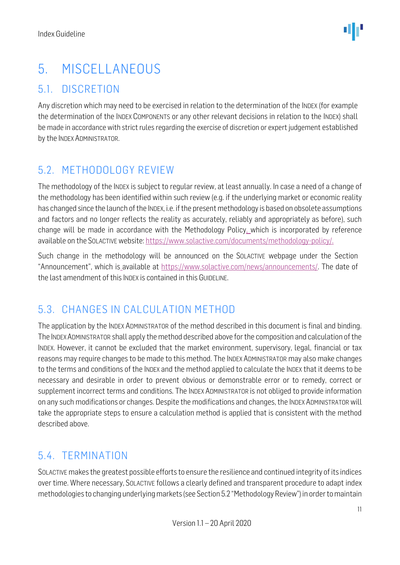### <span id="page-10-0"></span>5. MISCELLANEOUS

#### <span id="page-10-1"></span>5.1. DISCRETION

Any discretion which may need to be exercised in relation to the determination of the INDEX (for example the determination of the INDEX COMPONENTS or any other relevant decisions in relation to the INDEX) shall be made in accordance with strict rules regarding the exercise of discretion or expert judgement established by the INDEX ADMINISTRATOR.

### <span id="page-10-2"></span>5.2. METHODOLOGY REVIEW

The methodology of the INDEX is subject to regular review, at least annually. In case a need of a change of the methodology has been identified within such review (e.g. if the underlying market or economic reality has changed since the launch of the INDEX, i.e. if the present methodology is based on obsolete assumptions and factors and no longer reflects the reality as accurately, reliably and appropriately as before), such change will be made in accordance with the Methodology Policy. which is incorporated by reference available on the SOLACTIVE website: [https://www.solactive.com/documents/methodology-policy/.](https://www.solactive.com/documents/methodology-policy/)

Such change in the methodology will be announced on the SOLACTIVE webpage under the Section "Announcement", which is available at https://www.solactive.com/news/announcements/. The date of the last amendment of this INDEX is contained in this GUIDELINE.

### <span id="page-10-3"></span>5.3. CHANGES IN CALCULATION METHOD

The application by the INDEX ADMINISTRATOR of the method described in this document is final and binding. The INDEXADMINISTRATOR shall apply the method described above for the composition and calculation of the INDEX. However, it cannot be excluded that the market environment, supervisory, legal, financial or tax reasons may require changes to be made to this method. The INDEX ADMINISTRATOR may also make changes to the terms and conditions of the INDEX and the method applied to calculate the INDEX that it deems to be necessary and desirable in order to prevent obvious or demonstrable error or to remedy, correct or supplement incorrect terms and conditions. The INDEX ADMINISTRATOR is not obliged to provide information on any such modifications or changes. Despite the modifications and changes, the INDEX ADMINISTRATOR will take the appropriate steps to ensure a calculation method is applied that is consistent with the method described above.

### <span id="page-10-4"></span>5.4. TERMINATION

SOLACTIVE makes the greatest possible efforts to ensure the resilience and continued integrity of its indices over time. Where necessary, SOLACTIVE follows a clearly defined and transparent procedure to adapt index methodologies to changing underlying markets (see Section 5.2 "Methodology Review") in order to maintain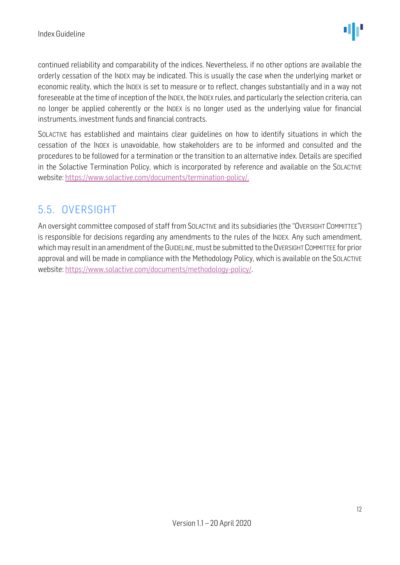continued reliability and comparability of the indices. Nevertheless, if no other options are available the orderly cessation of the INDEX may be indicated. This is usually the case when the underlying market or economic reality, which the INDEX is set to measure or to reflect, changes substantially and in a way not foreseeable at the time of inception of the INDEX, the INDEX rules, and particularly the selection criteria, can no longer be applied coherently or the INDEX is no longer used as the underlying value for financial instruments, investment funds and financial contracts.

SOLACTIVE has established and maintains clear guidelines on how to identify situations in which the cessation of the INDEX is unavoidable, how stakeholders are to be informed and consulted and the procedures to be followed for a termination or the transition to an alternative index. Details are specified in the Solactive Termination Policy, which is incorporated by reference and available on the SOLACTIVE website: [https://www.solactive.com/documents/termination-policy/.](https://www.solactive.com/documents/termination-policy/)

### <span id="page-11-0"></span>5.5. OVERSIGHT

An oversight committee composed of staff from SOLACTIVE and its subsidiaries (the "OVERSIGHT COMMITTEE") is responsible for decisions regarding any amendments to the rules of the INDEX. Any such amendment, which may result in an amendment of the GUIDELINE, must be submitted to the OVERSIGHT COMMITTEE for prior approval and will be made in compliance with th[e Methodology](http://methodology/) Policy, which is available on the SOLACTIVE website: [https://www.solactive.com/documents/methodology-policy/.](https://www.solactive.com/documents/methodology-policy/)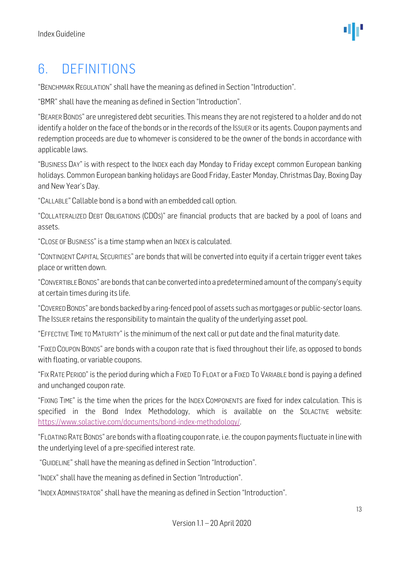### <span id="page-12-0"></span>6. DEFINITIONS

"BENCHMARK REGULATION" shall have the meaning as defined in Section "Introduction".

"BMR" shall have the meaning as defined in Section "Introduction".

"BEARER BONDS" are unregistered debt securities. This means they are not registered to a holder and do not identify a holder on the face of the bonds or in the records of the ISSUER or its agents. Coupon payments and redemption proceeds are due to whomever is considered to be the owner of the bonds in accordance with applicable laws.

"BUSINESS DAY" is with respect to the INDEX each day Monday to Friday except common European banking holidays. Common European banking holidays are Good Friday, Easter Monday, Christmas Day, Boxing Day and New Year's Day.

"CALLABLE" Callable bond is a bond with an embedded call option.

"COLLATERALIZED DEBT OBLIGATIONS (CDOS)" are financial products that are backed by a pool of loans and assets.

"CLOSE OF BUSINESS" is a time stamp when an INDEX is calculated.

"CONTINGENT CAPITAL SECURITIES" are bonds that will be converted into equity if a certain trigger event takes place or written down.

"CONVERTIBLE BONDS" are bonds that can be converted into a predetermined amount of the company's equity at certain times during its life.

"COVERED BONDS" are bonds backed by a ring-fenced pool of assets such as mortgages or public-sector loans. The ISSUER retains the responsibility to maintain the quality of the underlying asset pool.

"EFFECTIVE TIME TO MATURITY" is the minimum of the next call or put date and the final maturity date.

"FIXED COUPON BONDS" are bonds with a coupon rate that is fixed throughout their life, as opposed to bonds with floating, or variable coupons.

"FIX RATE PERIOD" is the period during which a FIXED TO FLOAT or a FIXED TO VARIABLE bond is paying a defined and unchanged coupon rate.

"FIXING TIME" is the time when the prices for the INDEX COMPONENTS are fixed for index calculation. This is specified in the Bond Index Methodology, which is available on the SOLACTIVE website: [https://www.solactive.com/documents/bond-index-methodology/.](https://www.solactive.com/documents/bond-index-methodology/)

"FLOATING RATE BONDS" are bonds with a floating coupon rate, i.e.the coupon payments fluctuate in line with the underlying level of a pre-specified interest rate.

"GUIDELINE" shall have the meaning as defined in Section "Introduction".

"INDEX" shall have the meaning as defined in Section "Introduction".

"INDEX ADMINISTRATOR" shall have the meaning as defined in Section "Introduction".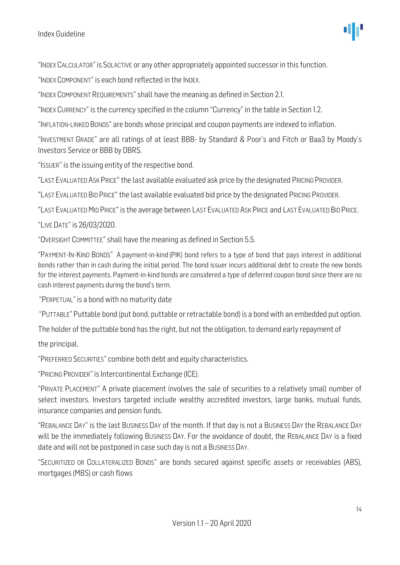"INDEX CALCULATOR" is SOLACTIVE or any other appropriately appointed successor in this function.

"INDEX COMPONENT" is each bond reflected in the INDEX.

"INDEX COMPONENT REQUIREMENTS" shall have the meaning as defined in Section 2.1.

"INDEX CURRENCY" is the currency specified in the column "Currency" in the table in Section 1.2.

"INFLATION-LINKED BONDS" are bonds whose principal and coupon payments are indexed to inflation.

"INVESTMENT GRADE" are all ratings of at least BBB- by Standard & Poor's and Fitch or Baa3 by Moody's Investors Service or BBB by DBRS.

"ISSUER" is the issuing entity of the respective bond.

"LAST EVALUATED ASK PRICE" the last available evaluated ask price by the designated PRICING PROVIDER.

"LAST EVALUATED BID PRICE" the last available evaluated bid price by the designated PRICING PROVIDER.

"LAST EVALUATED MID PRICE" is the average between LAST EVALUATED ASK PRICE and LAST EVALUATED BID PRICE.

"LIVE DATE" is 26/03/2020.

"OVERSIGHT COMMITTEE" shall have the meaning as defined in Section 5.5.

"PAYMENT-IN-KIND BONDS" A [payment-in-kind](https://www.investopedia.com/terms/p/paymentinkind.asp) (PIK) bond refers to a type of bond that pays interest in additional bonds rather than in cash during the initial period. The bond issuer incurs additional debt to create the new bonds for the interest payments. Payment-in-kind bonds are considered a type of [deferred coupon bond](https://www.investopedia.com/terms/d/deferredinterestbond.asp) since there are no cash interest payments during the bond's term.

"PERPETUAL"is a bond with no maturity date

"PUTTABLE" Puttable bond (put bond, puttable or retractable bond) is a bond with an embedded put option.

The holder of the puttable bond has the right, but not the obligation, to demand early repayment of

the principal.

"PREFERRED SECURITIES" combine both debt and equity characteristics.

"PRICING PROVIDER" is Intercontinental Exchange (ICE).

"PRIVATE PLACEMENT" A private placement involves the sale of securities to a relatively small number of select investors. Investors targeted include wealthy accredited investors, large banks, mutual funds, insurance companies and pension funds.

"REBALANCE DAY" is the last BUSINESS DAY of the month. If that day is not a BUSINESS DAY the REBALANCE DAY will be the immediately following BUSINESS DAY. For the avoidance of doubt, the REBALANCE DAY is a fixed date and will not be postponed in case such day is not a BUSINESS DAY.

"SECURITIZED OR COLLATERALIZED BONDS" are bonds secured against specific assets or receivables (ABS), mortgages (MBS) or cash flows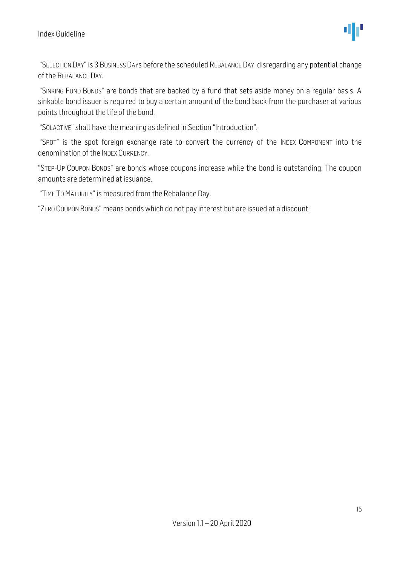"SELECTION DAY" is 3 BUSINESS DAYs before the scheduled REBALANCE DAY, disregarding any potential change of the REBALANCE DAY.

"SINKING FUND BONDS" are bonds that are backed by a fund that sets aside money on a regular basis. A sinkable bond issuer is required to buy a certain amount of the bond back from the purchaser at various points throughout the life of the bond.

"SOLACTIVE" shall have the meaning as defined in Section "Introduction".

"SPOT" is the spot foreign exchange rate to convert the currency of the INDEX COMPONENT into the denomination of the INDEX CURRENCY.

"STEP-UP COUPON BONDS" are bonds whose coupons increase while the bond is outstanding. The coupon amounts are determined at issuance.

"TIME TO MATURITY" is measured from the Rebalance Day.

"ZERO COUPON BONDS" means bonds which do not pay interest but are issued at a discount.